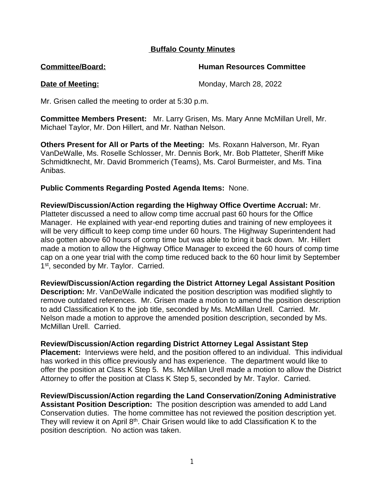## **Buffalo County Minutes**

**Committee/Board: Human Resources Committee**

**Date of Meeting:** Monday, March 28, 2022

Mr. Grisen called the meeting to order at 5:30 p.m.

**Committee Members Present:** Mr. Larry Grisen, Ms. Mary Anne McMillan Urell, Mr. Michael Taylor, Mr. Don Hillert, and Mr. Nathan Nelson.

**Others Present for All or Parts of the Meeting:** Ms. Roxann Halverson, Mr. Ryan VanDeWalle, Ms. Roselle Schlosser, Mr. Dennis Bork, Mr. Bob Platteter, Sheriff Mike Schmidtknecht, Mr. David Brommerich (Teams), Ms. Carol Burmeister, and Ms. Tina Anibas.

**Public Comments Regarding Posted Agenda Items:** None.

**Review/Discussion/Action regarding the Highway Office Overtime Accrual:** Mr. Platteter discussed a need to allow comp time accrual past 60 hours for the Office Manager. He explained with year-end reporting duties and training of new employees it will be very difficult to keep comp time under 60 hours. The Highway Superintendent had also gotten above 60 hours of comp time but was able to bring it back down. Mr. Hillert made a motion to allow the Highway Office Manager to exceed the 60 hours of comp time cap on a one year trial with the comp time reduced back to the 60 hour limit by September 1st, seconded by Mr. Taylor. Carried.

**Review/Discussion/Action regarding the District Attorney Legal Assistant Position Description:** Mr. VanDeWalle indicated the position description was modified slightly to remove outdated references. Mr. Grisen made a motion to amend the position description to add Classification K to the job title, seconded by Ms. McMillan Urell. Carried. Mr. Nelson made a motion to approve the amended position description, seconded by Ms. McMillan Urell. Carried.

**Review/Discussion/Action regarding District Attorney Legal Assistant Step Placement:** Interviews were held, and the position offered to an individual. This individual has worked in this office previously and has experience. The department would like to offer the position at Class K Step 5. Ms. McMillan Urell made a motion to allow the District Attorney to offer the position at Class K Step 5, seconded by Mr. Taylor. Carried.

**Review/Discussion/Action regarding the Land Conservation/Zoning Administrative Assistant Position Description:** The position description was amended to add Land Conservation duties. The home committee has not reviewed the position description yet. They will review it on April 8<sup>th</sup>. Chair Grisen would like to add Classification K to the position description. No action was taken.